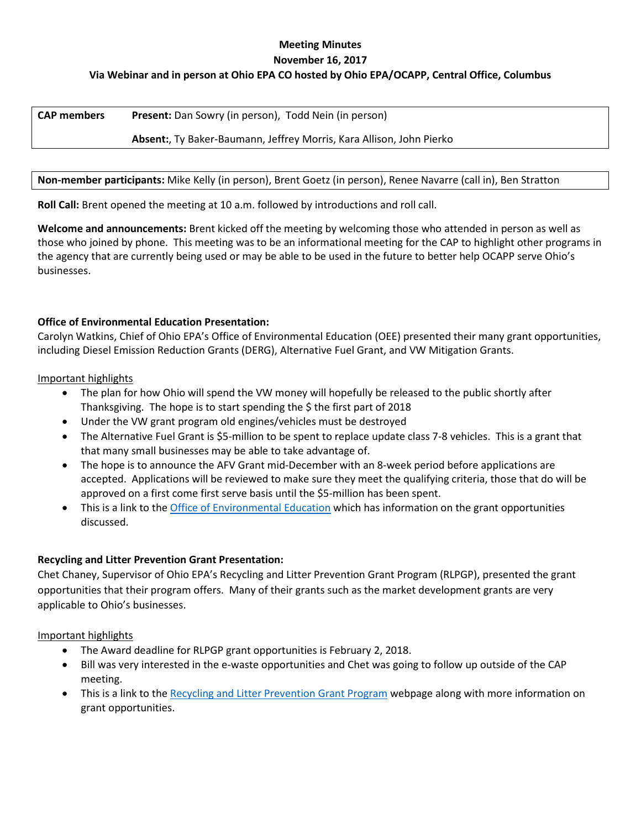### **Meeting Minutes November 16, 2017**

# **Via Webinar and in person at Ohio EPA CO hosted by Ohio EPA/OCAPP, Central Office, Columbus**

| <b>CAP</b> members | <b>Present:</b> Dan Sowry (in person), Todd Nein (in person)         |
|--------------------|----------------------------------------------------------------------|
|                    | Absent:, Ty Baker-Baumann, Jeffrey Morris, Kara Allison, John Pierko |

#### **Non-member participants:** Mike Kelly (in person), Brent Goetz (in person), Renee Navarre (call in), Ben Stratton

**Roll Call:** Brent opened the meeting at 10 a.m. followed by introductions and roll call.

**Welcome and announcements:** Brent kicked off the meeting by welcoming those who attended in person as well as those who joined by phone. This meeting was to be an informational meeting for the CAP to highlight other programs in the agency that are currently being used or may be able to be used in the future to better help OCAPP serve Ohio's businesses.

## **Office of Environmental Education Presentation:**

Carolyn Watkins, Chief of Ohio EPA's Office of Environmental Education (OEE) presented their many grant opportunities, including Diesel Emission Reduction Grants (DERG), Alternative Fuel Grant, and VW Mitigation Grants.

Important highlights

- The plan for how Ohio will spend the VW money will hopefully be released to the public shortly after Thanksgiving. The hope is to start spending the \$ the first part of 2018
- Under the VW grant program old engines/vehicles must be destroyed
- The Alternative Fuel Grant is \$5-million to be spent to replace update class 7-8 vehicles. This is a grant that that many small businesses may be able to take advantage of.
- The hope is to announce the AFV Grant mid-December with an 8-week period before applications are accepted. Applications will be reviewed to make sure they meet the qualifying criteria, those that do will be approved on a first come first serve basis until the \$5-million has been spent.
- This is a link to th[e Office of Environmental Education](http://epa.ohio.gov/oee/EnvironmentalEducation.aspx) which has information on the grant opportunities discussed.

### **Recycling and Litter Prevention Grant Presentation:**

Chet Chaney, Supervisor of Ohio EPA's Recycling and Litter Prevention Grant Program (RLPGP), presented the grant opportunities that their program offers. Many of their grants such as the market development grants are very applicable to Ohio's businesses.

Important highlights

- The Award deadline for RLPGP grant opportunities is February 2, 2018.
- Bill was very interested in the e-waste opportunities and Chet was going to follow up outside of the CAP meeting.
- This is a link to th[e Recycling and Litter Prevention Grant Program](http://epa.ohio.gov/ocapp/Grants.aspx#159584674-market-development-grant) webpage along with more information on grant opportunities.